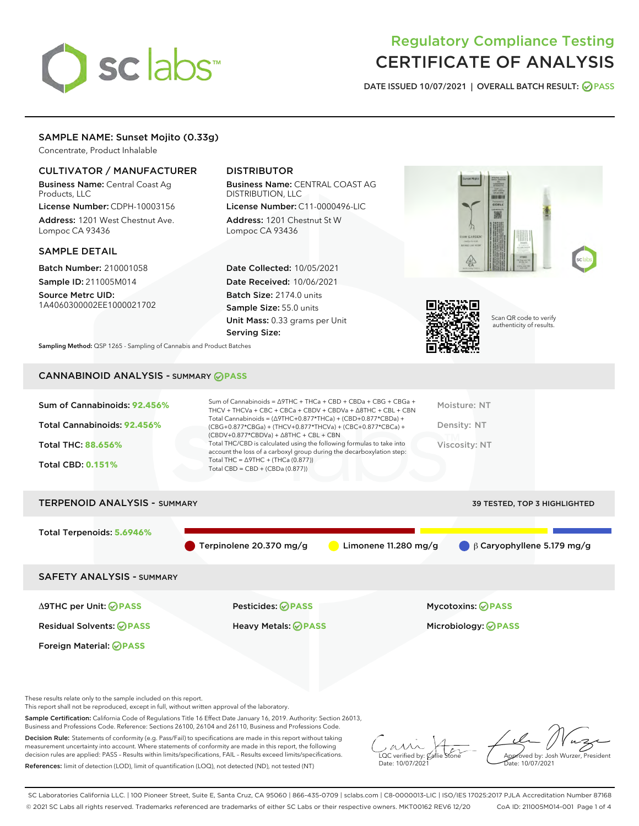# sclabs

# Regulatory Compliance Testing CERTIFICATE OF ANALYSIS

DATE ISSUED 10/07/2021 | OVERALL BATCH RESULT: @ PASS

## SAMPLE NAME: Sunset Mojito (0.33g)

Concentrate, Product Inhalable

### CULTIVATOR / MANUFACTURER

Business Name: Central Coast Ag Products, LLC

License Number: CDPH-10003156 Address: 1201 West Chestnut Ave. Lompoc CA 93436

#### SAMPLE DETAIL

Batch Number: 210001058 Sample ID: 211005M014

Source Metrc UID: 1A4060300002EE1000021702

## DISTRIBUTOR

Business Name: CENTRAL COAST AG DISTRIBUTION, LLC License Number: C11-0000496-LIC

Address: 1201 Chestnut St W Lompoc CA 93436

Date Collected: 10/05/2021 Date Received: 10/06/2021 Batch Size: 2174.0 units Sample Size: 55.0 units Unit Mass: 0.33 grams per Unit Serving Size:





Scan QR code to verify authenticity of results.

Sampling Method: QSP 1265 - Sampling of Cannabis and Product Batches

# CANNABINOID ANALYSIS - SUMMARY **PASS**

| Sum of Cannabinoids: 92.456% | Sum of Cannabinoids = ∆9THC + THCa + CBD + CBDa + CBG + CBGa +<br>THCV + THCVa + CBC + CBCa + CBDV + CBDVa + $\land$ 8THC + CBL + CBN                                                    | Moisture: NT  |
|------------------------------|------------------------------------------------------------------------------------------------------------------------------------------------------------------------------------------|---------------|
| Total Cannabinoids: 92.456%  | Total Cannabinoids = $(\Delta 9THC + 0.877*THCa) + (CBD + 0.877*CBDa) +$<br>(CBG+0.877*CBGa) + (THCV+0.877*THCVa) + (CBC+0.877*CBCa) +<br>$(CBDV+0.877*CBDVa) + \Delta 8THC + CBL + CBN$ | Density: NT   |
| <b>Total THC: 88.656%</b>    | Total THC/CBD is calculated using the following formulas to take into<br>account the loss of a carboxyl group during the decarboxylation step:                                           | Viscosity: NT |
| <b>Total CBD: 0.151%</b>     | Total THC = $\triangle$ 9THC + (THCa (0.877))<br>Total CBD = $CBD + (CBDa (0.877))$                                                                                                      |               |

# TERPENOID ANALYSIS - SUMMARY 39 TESTED, TOP 3 HIGHLIGHTED Total Terpenoids: **5.6946%** Terpinolene 20.370 mg/g Limonene 11.280 mg/g β Caryophyllene 5.179 mg/g SAFETY ANALYSIS - SUMMARY Δ9THC per Unit: **PASS** Pesticides: **PASS** Mycotoxins: **PASS**

Foreign Material: **PASS**

Residual Solvents: **PASS** Heavy Metals: **PASS** Microbiology: **PASS**

These results relate only to the sample included on this report.

This report shall not be reproduced, except in full, without written approval of the laboratory.

Sample Certification: California Code of Regulations Title 16 Effect Date January 16, 2019. Authority: Section 26013, Business and Professions Code. Reference: Sections 26100, 26104 and 26110, Business and Professions Code.

Decision Rule: Statements of conformity (e.g. Pass/Fail) to specifications are made in this report without taking measurement uncertainty into account. Where statements of conformity are made in this report, the following decision rules are applied: PASS – Results within limits/specifications, FAIL – Results exceed limits/specifications. References: limit of detection (LOD), limit of quantification (LOQ), not detected (ND), not tested (NT)

 $\overline{\text{LOC}}$  verified by:  $\mathcal C$ Date: 10/07/2021

Aved by: Josh Wurzer, President Date: 10/07/2021

SC Laboratories California LLC. | 100 Pioneer Street, Suite E, Santa Cruz, CA 95060 | 866-435-0709 | sclabs.com | C8-0000013-LIC | ISO/IES 17025:2017 PJLA Accreditation Number 87168 © 2021 SC Labs all rights reserved. Trademarks referenced are trademarks of either SC Labs or their respective owners. MKT00162 REV6 12/20 CoA ID: 211005M014-001 Page 1 of 4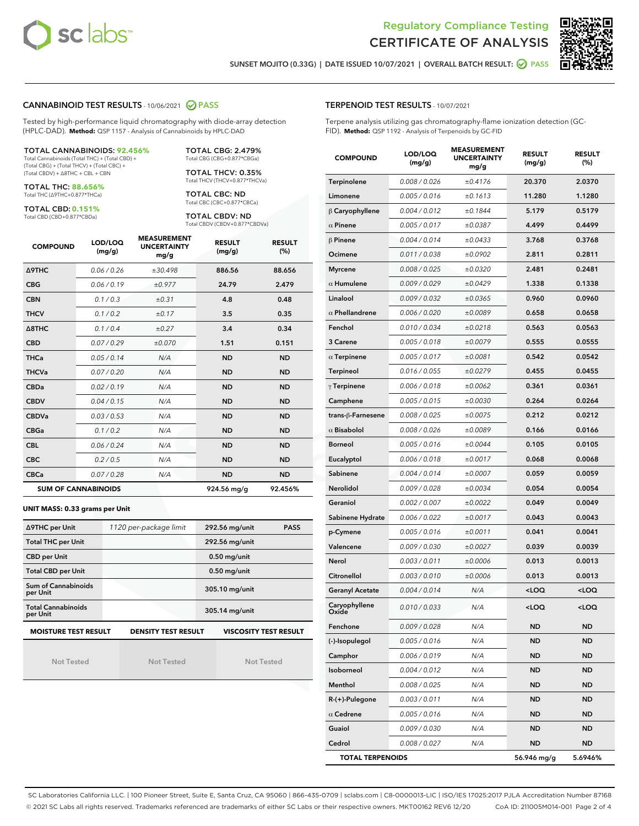



SUNSET MOJITO (0.33G) | DATE ISSUED 10/07/2021 | OVERALL BATCH RESULT: **O PASS** 

#### CANNABINOID TEST RESULTS - 10/06/2021 2 PASS

Tested by high-performance liquid chromatography with diode-array detection (HPLC-DAD). **Method:** QSP 1157 - Analysis of Cannabinoids by HPLC-DAD

#### TOTAL CANNABINOIDS: **92.456%**

Total Cannabinoids (Total THC) + (Total CBD) + (Total CBG) + (Total THCV) + (Total CBC) + (Total CBDV) + ∆8THC + CBL + CBN

TOTAL THC: **88.656%** Total THC (∆9THC+0.877\*THCa)

TOTAL CBD: **0.151%**

Total CBD (CBD+0.877\*CBDa)

TOTAL CBG: 2.479% Total CBG (CBG+0.877\*CBGa)

TOTAL THCV: 0.35% Total THCV (THCV+0.877\*THCVa)

TOTAL CBC: ND Total CBC (CBC+0.877\*CBCa)

TOTAL CBDV: ND Total CBDV (CBDV+0.877\*CBDVa)

| <b>COMPOUND</b>            | LOD/LOQ<br>(mg/g) | <b>MEASUREMENT</b><br><b>UNCERTAINTY</b><br>mg/g | <b>RESULT</b><br>(mg/g) | <b>RESULT</b><br>(%) |
|----------------------------|-------------------|--------------------------------------------------|-------------------------|----------------------|
| Δ9THC                      | 0.06 / 0.26       | ±30.498                                          | 886.56                  | 88.656               |
| <b>CBG</b>                 | 0.06/0.19         | ±0.977                                           | 24.79                   | 2.479                |
| <b>CBN</b>                 | 0.1/0.3           | ±0.31                                            | 4.8                     | 0.48                 |
| <b>THCV</b>                | 0.1/0.2           | ±0.17                                            | 3.5                     | 0.35                 |
| $\triangle$ 8THC           | 0.1/0.4           | ±0.27                                            | 3.4                     | 0.34                 |
| <b>CBD</b>                 | 0.07/0.29         | ±0.070                                           | 1.51                    | 0.151                |
| <b>THCa</b>                | 0.05 / 0.14       | N/A                                              | <b>ND</b>               | <b>ND</b>            |
| <b>THCVa</b>               | 0.07/0.20         | N/A                                              | <b>ND</b>               | <b>ND</b>            |
| <b>CBDa</b>                | 0.02/0.19         | N/A                                              | <b>ND</b>               | <b>ND</b>            |
| <b>CBDV</b>                | 0.04 / 0.15       | N/A                                              | <b>ND</b>               | <b>ND</b>            |
| <b>CBDVa</b>               | 0.03/0.53         | N/A                                              | <b>ND</b>               | <b>ND</b>            |
| <b>CBGa</b>                | 0.1 / 0.2         | N/A                                              | <b>ND</b>               | <b>ND</b>            |
| <b>CBL</b>                 | 0.06 / 0.24       | N/A                                              | <b>ND</b>               | <b>ND</b>            |
| <b>CBC</b>                 | 0.2 / 0.5         | N/A                                              | <b>ND</b>               | <b>ND</b>            |
| <b>CBCa</b>                | 0.07 / 0.28       | N/A                                              | <b>ND</b>               | <b>ND</b>            |
| <b>SUM OF CANNABINOIDS</b> |                   |                                                  | 924.56 mg/g             | 92.456%              |

#### **UNIT MASS: 0.33 grams per Unit**

| ∆9THC per Unit                        | 1120 per-package limit     | 292.56 mg/unit<br><b>PASS</b> |
|---------------------------------------|----------------------------|-------------------------------|
| <b>Total THC per Unit</b>             |                            | 292.56 mg/unit                |
| <b>CBD per Unit</b>                   |                            | $0.50$ mg/unit                |
| <b>Total CBD per Unit</b>             |                            | $0.50$ mg/unit                |
| Sum of Cannabinoids<br>per Unit       |                            | 305.10 mg/unit                |
| <b>Total Cannabinoids</b><br>per Unit |                            | 305.14 mg/unit                |
| <b>MOISTURE TEST RESULT</b>           | <b>DENSITY TEST RESULT</b> | <b>VISCOSITY TEST RESULT</b>  |

Not Tested

Not Tested

Not Tested

#### TERPENOID TEST RESULTS - 10/07/2021

Terpene analysis utilizing gas chromatography-flame ionization detection (GC-FID). **Method:** QSP 1192 - Analysis of Terpenoids by GC-FID

| <b>COMPOUND</b>         | LOD/LOQ<br>(mg/g) | <b>MEASUREMENT</b><br><b>UNCERTAINTY</b><br>mg/g | <b>RESULT</b><br>(mg/g)                         | <b>RESULT</b><br>(%) |
|-------------------------|-------------------|--------------------------------------------------|-------------------------------------------------|----------------------|
| Terpinolene             | 0.008 / 0.026     | ±0.4176                                          | 20.370                                          | 2.0370               |
| Limonene                | 0.005 / 0.016     | ±0.1613                                          | 11.280                                          | 1.1280               |
| $\beta$ Caryophyllene   | 0.004 / 0.012     | ±0.1844                                          | 5.179                                           | 0.5179               |
| $\alpha$ Pinene         | 0.005 / 0.017     | ±0.0387                                          | 4.499                                           | 0.4499               |
| $\beta$ Pinene          | 0.004 / 0.014     | ±0.0433                                          | 3.768                                           | 0.3768               |
| Ocimene                 | 0.011 / 0.038     | ±0.0902                                          | 2.811                                           | 0.2811               |
| <b>Myrcene</b>          | 0.008 / 0.025     | ±0.0320                                          | 2.481                                           | 0.2481               |
| $\alpha$ Humulene       | 0.009/0.029       | ±0.0429                                          | 1.338                                           | 0.1338               |
| Linalool                | 0.009 / 0.032     | ±0.0365                                          | 0.960                                           | 0.0960               |
| $\alpha$ Phellandrene   | 0.006 / 0.020     | ±0.0089                                          | 0.658                                           | 0.0658               |
| Fenchol                 | 0.010 / 0.034     | ±0.0218                                          | 0.563                                           | 0.0563               |
| 3 Carene                | 0.005 / 0.018     | ±0.0079                                          | 0.555                                           | 0.0555               |
| $\alpha$ Terpinene      | 0.005 / 0.017     | ±0.0081                                          | 0.542                                           | 0.0542               |
| Terpineol               | 0.016 / 0.055     | ±0.0279                                          | 0.455                                           | 0.0455               |
| $\gamma$ Terpinene      | 0.006 / 0.018     | ±0.0062                                          | 0.361                                           | 0.0361               |
| Camphene                | 0.005 / 0.015     | ±0.0030                                          | 0.264                                           | 0.0264               |
| trans-ß-Farnesene       | 0.008 / 0.025     | ±0.0075                                          | 0.212                                           | 0.0212               |
| $\alpha$ Bisabolol      | 0.008 / 0.026     | ±0.0089                                          | 0.166                                           | 0.0166               |
| <b>Borneol</b>          | 0.005 / 0.016     | ±0.0044                                          | 0.105                                           | 0.0105               |
| Eucalyptol              | 0.006 / 0.018     | ±0.0017                                          | 0.068                                           | 0.0068               |
| Sabinene                | 0.004 / 0.014     | ±0.0007                                          | 0.059                                           | 0.0059               |
| Nerolidol               | 0.009 / 0.028     | ±0.0034                                          | 0.054                                           | 0.0054               |
| Geraniol                | 0.002 / 0.007     | ±0.0022                                          | 0.049                                           | 0.0049               |
| Sabinene Hydrate        | 0.006 / 0.022     | ±0.0017                                          | 0.043                                           | 0.0043               |
| p-Cymene                | 0.005 / 0.016     | ±0.0011                                          | 0.041                                           | 0.0041               |
| Valencene               | 0.009 / 0.030     | ±0.0027                                          | 0.039                                           | 0.0039               |
| Nerol                   | 0.003 / 0.011     | ±0.0006                                          | 0.013                                           | 0.0013               |
| Citronellol             | 0.003 / 0.010     | ±0.0006                                          | 0.013                                           | 0.0013               |
| <b>Geranyl Acetate</b>  | 0.004 / 0.014     | N/A                                              | <loq< th=""><th><loq< th=""></loq<></th></loq<> | <loq< th=""></loq<>  |
| Caryophyllene           | 0.010 / 0.033     | N/A                                              | <loq< th=""><th><loq< th=""></loq<></th></loq<> | <loq< th=""></loq<>  |
| Fenchone                | 0.009 / 0.028     | N/A                                              | ND                                              | <b>ND</b>            |
| (-)-Isopulegol          | 0.005 / 0.016     | N/A                                              | ND                                              | ND                   |
| Camphor                 | 0.006 / 0.019     | N/A                                              | ND                                              | <b>ND</b>            |
| Isoborneol              | 0.004 / 0.012     | N/A                                              | ND                                              | <b>ND</b>            |
| Menthol                 | 0.008 / 0.025     | N/A                                              | ND                                              | ND                   |
| R-(+)-Pulegone          | 0.003 / 0.011     | N/A                                              | ND                                              | ND                   |
| $\alpha$ Cedrene        | 0.005 / 0.016     | N/A                                              | ND                                              | <b>ND</b>            |
| Guaiol                  | 0.009 / 0.030     | N/A                                              | ND                                              | ND                   |
| Cedrol                  | 0.008 / 0.027     | N/A                                              | ND                                              | ND                   |
| <b>TOTAL TERPENOIDS</b> |                   |                                                  | 56.946 mg/g                                     | 5.6946%              |

SC Laboratories California LLC. | 100 Pioneer Street, Suite E, Santa Cruz, CA 95060 | 866-435-0709 | sclabs.com | C8-0000013-LIC | ISO/IES 17025:2017 PJLA Accreditation Number 87168 © 2021 SC Labs all rights reserved. Trademarks referenced are trademarks of either SC Labs or their respective owners. MKT00162 REV6 12/20 CoA ID: 211005M014-001 Page 2 of 4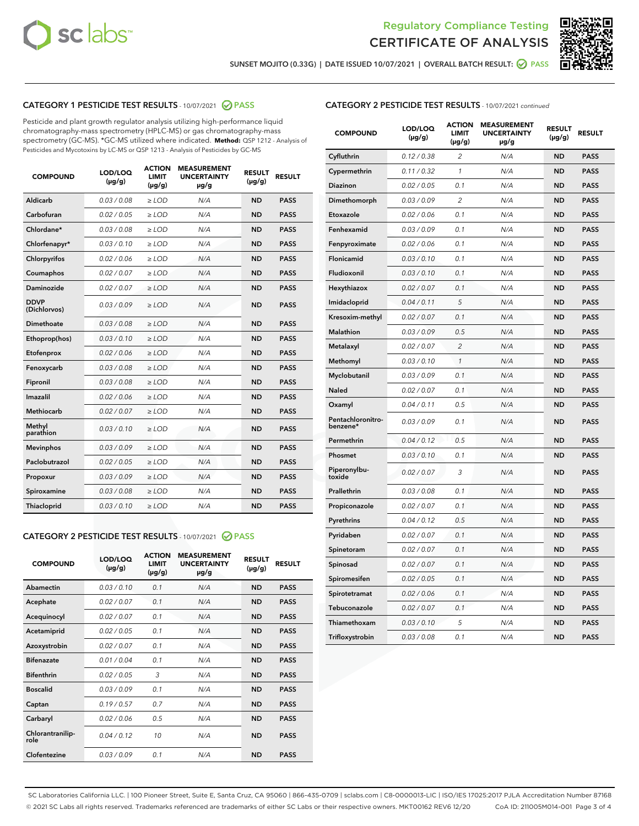



SUNSET MOJITO (0.33G) | DATE ISSUED 10/07/2021 | OVERALL BATCH RESULT: @ PASS

#### CATEGORY 1 PESTICIDE TEST RESULTS - 10/07/2021 @ PASS

Pesticide and plant growth regulator analysis utilizing high-performance liquid chromatography-mass spectrometry (HPLC-MS) or gas chromatography-mass spectrometry (GC-MS). \*GC-MS utilized where indicated. **Method:** QSP 1212 - Analysis of Pesticides and Mycotoxins by LC-MS or QSP 1213 - Analysis of Pesticides by GC-MS

| <b>COMPOUND</b>             | LOD/LOQ<br>$(\mu g/g)$ | <b>ACTION</b><br><b>LIMIT</b><br>$(\mu q/q)$ | <b>MEASUREMENT</b><br><b>UNCERTAINTY</b><br>$\mu$ g/g | <b>RESULT</b><br>$(\mu g/g)$ | <b>RESULT</b> |
|-----------------------------|------------------------|----------------------------------------------|-------------------------------------------------------|------------------------------|---------------|
| Aldicarb                    | 0.03 / 0.08            | $\ge$ LOD                                    | N/A                                                   | <b>ND</b>                    | <b>PASS</b>   |
| Carbofuran                  | 0.02 / 0.05            | $\ge$ LOD                                    | N/A                                                   | <b>ND</b>                    | <b>PASS</b>   |
| Chlordane*                  | 0.03 / 0.08            | $\ge$ LOD                                    | N/A                                                   | <b>ND</b>                    | <b>PASS</b>   |
| Chlorfenapyr*               | 0.03/0.10              | $\ge$ LOD                                    | N/A                                                   | <b>ND</b>                    | <b>PASS</b>   |
| Chlorpyrifos                | 0.02 / 0.06            | $\ge$ LOD                                    | N/A                                                   | <b>ND</b>                    | <b>PASS</b>   |
| Coumaphos                   | 0.02 / 0.07            | $\ge$ LOD                                    | N/A                                                   | <b>ND</b>                    | <b>PASS</b>   |
| Daminozide                  | 0.02 / 0.07            | $\ge$ LOD                                    | N/A                                                   | <b>ND</b>                    | <b>PASS</b>   |
| <b>DDVP</b><br>(Dichlorvos) | 0.03/0.09              | $>$ LOD                                      | N/A                                                   | <b>ND</b>                    | <b>PASS</b>   |
| Dimethoate                  | 0.03 / 0.08            | $\ge$ LOD                                    | N/A                                                   | <b>ND</b>                    | <b>PASS</b>   |
| Ethoprop(hos)               | 0.03/0.10              | $\ge$ LOD                                    | N/A                                                   | <b>ND</b>                    | <b>PASS</b>   |
| Etofenprox                  | 0.02/0.06              | $>$ LOD                                      | N/A                                                   | <b>ND</b>                    | <b>PASS</b>   |
| Fenoxycarb                  | 0.03 / 0.08            | $\ge$ LOD                                    | N/A                                                   | <b>ND</b>                    | <b>PASS</b>   |
| Fipronil                    | 0.03/0.08              | $>$ LOD                                      | N/A                                                   | <b>ND</b>                    | <b>PASS</b>   |
| Imazalil                    | 0.02 / 0.06            | $\ge$ LOD                                    | N/A                                                   | <b>ND</b>                    | <b>PASS</b>   |
| Methiocarb                  | 0.02 / 0.07            | $\ge$ LOD                                    | N/A                                                   | <b>ND</b>                    | <b>PASS</b>   |
| Methyl<br>parathion         | 0.03/0.10              | $>$ LOD                                      | N/A                                                   | <b>ND</b>                    | <b>PASS</b>   |
| <b>Mevinphos</b>            | 0.03/0.09              | $>$ LOD                                      | N/A                                                   | <b>ND</b>                    | <b>PASS</b>   |
| Paclobutrazol               | 0.02 / 0.05            | $\ge$ LOD                                    | N/A                                                   | <b>ND</b>                    | <b>PASS</b>   |
| Propoxur                    | 0.03 / 0.09            | $\ge$ LOD                                    | N/A                                                   | <b>ND</b>                    | <b>PASS</b>   |
| Spiroxamine                 | 0.03 / 0.08            | $\ge$ LOD                                    | N/A                                                   | <b>ND</b>                    | <b>PASS</b>   |
| Thiacloprid                 | 0.03/0.10              | $\ge$ LOD                                    | N/A                                                   | <b>ND</b>                    | <b>PASS</b>   |
|                             |                        |                                              |                                                       |                              |               |

#### CATEGORY 2 PESTICIDE TEST RESULTS - 10/07/2021 @ PASS

| <b>COMPOUND</b>          | LOD/LOO<br>$(\mu g/g)$ | <b>ACTION</b><br>LIMIT<br>$(\mu g/g)$ | <b>MEASUREMENT</b><br><b>UNCERTAINTY</b><br>$\mu$ g/g | <b>RESULT</b><br>$(\mu g/g)$ | <b>RESULT</b> |
|--------------------------|------------------------|---------------------------------------|-------------------------------------------------------|------------------------------|---------------|
| Abamectin                | 0.03/0.10              | 0.1                                   | N/A                                                   | <b>ND</b>                    | <b>PASS</b>   |
| Acephate                 | 0.02/0.07              | 0.1                                   | N/A                                                   | <b>ND</b>                    | <b>PASS</b>   |
| Acequinocyl              | 0.02/0.07              | 0.1                                   | N/A                                                   | <b>ND</b>                    | <b>PASS</b>   |
| Acetamiprid              | 0.02/0.05              | 0.1                                   | N/A                                                   | <b>ND</b>                    | <b>PASS</b>   |
| Azoxystrobin             | 0.02/0.07              | 0.1                                   | N/A                                                   | <b>ND</b>                    | <b>PASS</b>   |
| <b>Bifenazate</b>        | 0.01/0.04              | 0.1                                   | N/A                                                   | <b>ND</b>                    | <b>PASS</b>   |
| <b>Bifenthrin</b>        | 0.02 / 0.05            | 3                                     | N/A                                                   | <b>ND</b>                    | <b>PASS</b>   |
| <b>Boscalid</b>          | 0.03/0.09              | 0.1                                   | N/A                                                   | <b>ND</b>                    | <b>PASS</b>   |
| Captan                   | 0.19/0.57              | 0.7                                   | N/A                                                   | <b>ND</b>                    | <b>PASS</b>   |
| Carbaryl                 | 0.02/0.06              | 0.5                                   | N/A                                                   | <b>ND</b>                    | <b>PASS</b>   |
| Chlorantranilip-<br>role | 0.04/0.12              | 10                                    | N/A                                                   | <b>ND</b>                    | <b>PASS</b>   |
| Clofentezine             | 0.03/0.09              | 0.1                                   | N/A                                                   | <b>ND</b>                    | <b>PASS</b>   |

#### CATEGORY 2 PESTICIDE TEST RESULTS - 10/07/2021 continued

| <b>COMPOUND</b>               | LOD/LOQ<br>(µg/g) | <b>ACTION</b><br><b>LIMIT</b><br>(µg/g) | <b>MEASUREMENT</b><br><b>UNCERTAINTY</b><br>µg/g | <b>RESULT</b><br>(µg/g) | <b>RESULT</b> |
|-------------------------------|-------------------|-----------------------------------------|--------------------------------------------------|-------------------------|---------------|
| Cyfluthrin                    | 0.12 / 0.38       | $\overline{c}$                          | N/A                                              | <b>ND</b>               | <b>PASS</b>   |
| Cypermethrin                  | 0.11 / 0.32       | 1                                       | N/A                                              | <b>ND</b>               | <b>PASS</b>   |
| Diazinon                      | 0.02 / 0.05       | 0.1                                     | N/A                                              | <b>ND</b>               | <b>PASS</b>   |
| Dimethomorph                  | 0.03 / 0.09       | 2                                       | N/A                                              | ND                      | <b>PASS</b>   |
| Etoxazole                     | 0.02 / 0.06       | 0.1                                     | N/A                                              | <b>ND</b>               | <b>PASS</b>   |
| Fenhexamid                    | 0.03 / 0.09       | 0.1                                     | N/A                                              | ND                      | <b>PASS</b>   |
| Fenpyroximate                 | 0.02 / 0.06       | 0.1                                     | N/A                                              | <b>ND</b>               | <b>PASS</b>   |
| Flonicamid                    | 0.03 / 0.10       | 0.1                                     | N/A                                              | ND                      | <b>PASS</b>   |
| Fludioxonil                   | 0.03 / 0.10       | 0.1                                     | N/A                                              | <b>ND</b>               | <b>PASS</b>   |
| Hexythiazox                   | 0.02 / 0.07       | 0.1                                     | N/A                                              | ND                      | <b>PASS</b>   |
| Imidacloprid                  | 0.04 / 0.11       | 5                                       | N/A                                              | ND                      | <b>PASS</b>   |
| Kresoxim-methyl               | 0.02 / 0.07       | 0.1                                     | N/A                                              | <b>ND</b>               | <b>PASS</b>   |
| <b>Malathion</b>              | 0.03 / 0.09       | 0.5                                     | N/A                                              | ND                      | <b>PASS</b>   |
| Metalaxyl                     | 0.02 / 0.07       | $\overline{c}$                          | N/A                                              | ND                      | <b>PASS</b>   |
| Methomyl                      | 0.03 / 0.10       | 1                                       | N/A                                              | <b>ND</b>               | <b>PASS</b>   |
| Myclobutanil                  | 0.03 / 0.09       | 0.1                                     | N/A                                              | ND                      | <b>PASS</b>   |
| Naled                         | 0.02 / 0.07       | 0.1                                     | N/A                                              | ND                      | <b>PASS</b>   |
| Oxamyl                        | 0.04 / 0.11       | 0.5                                     | N/A                                              | ND                      | <b>PASS</b>   |
| Pentachloronitro-<br>benzene* | 0.03 / 0.09       | 0.1                                     | N/A                                              | ND                      | <b>PASS</b>   |
| Permethrin                    | 0.04 / 0.12       | 0.5                                     | N/A                                              | <b>ND</b>               | <b>PASS</b>   |
| Phosmet                       | 0.03/0.10         | 0.1                                     | N/A                                              | ND                      | <b>PASS</b>   |
| Piperonylbu-<br>toxide        | 0.02 / 0.07       | 3                                       | N/A                                              | ND                      | <b>PASS</b>   |
| Prallethrin                   | 0.03 / 0.08       | 0.1                                     | N/A                                              | <b>ND</b>               | <b>PASS</b>   |
| Propiconazole                 | 0.02 / 0.07       | 0.1                                     | N/A                                              | ND                      | <b>PASS</b>   |
| Pyrethrins                    | 0.04 / 0.12       | 0.5                                     | N/A                                              | ND                      | <b>PASS</b>   |
| Pyridaben                     | 0.02 / 0.07       | 0.1                                     | N/A                                              | ND                      | <b>PASS</b>   |
| Spinetoram                    | 0.02 / 0.07       | 0.1                                     | N/A                                              | ND                      | <b>PASS</b>   |
| Spinosad                      | 0.02 / 0.07       | 0.1                                     | N/A                                              | ND                      | <b>PASS</b>   |
| Spiromesifen                  | 0.02 / 0.05       | 0.1                                     | N/A                                              | ND                      | <b>PASS</b>   |
| Spirotetramat                 | 0.02 / 0.06       | 0.1                                     | N/A                                              | ND                      | <b>PASS</b>   |
| Tebuconazole                  | 0.02 / 0.07       | 0.1                                     | N/A                                              | ND                      | <b>PASS</b>   |
| Thiamethoxam                  | 0.03 / 0.10       | 5                                       | N/A                                              | ND                      | <b>PASS</b>   |
| Trifloxystrobin               | 0.03 / 0.08       | 0.1                                     | N/A                                              | <b>ND</b>               | <b>PASS</b>   |

SC Laboratories California LLC. | 100 Pioneer Street, Suite E, Santa Cruz, CA 95060 | 866-435-0709 | sclabs.com | C8-0000013-LIC | ISO/IES 17025:2017 PJLA Accreditation Number 87168 © 2021 SC Labs all rights reserved. Trademarks referenced are trademarks of either SC Labs or their respective owners. MKT00162 REV6 12/20 CoA ID: 211005M014-001 Page 3 of 4